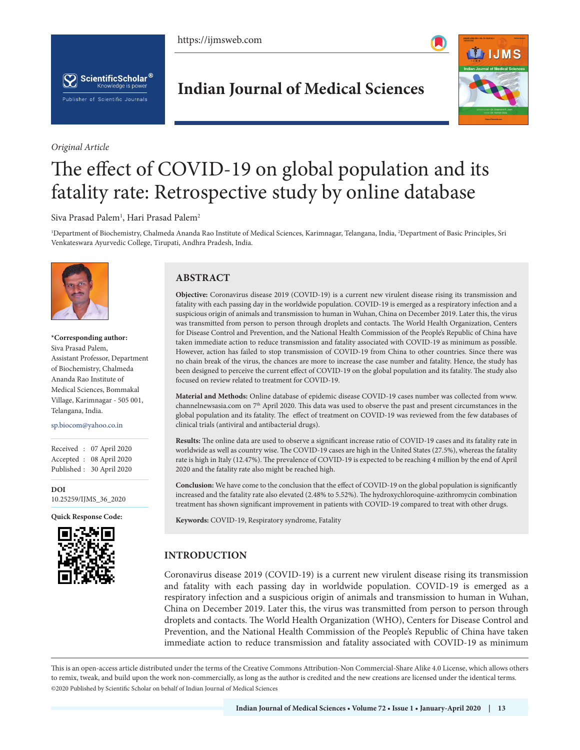https://ijmsweb.com





*Original Article*

# **Indian Journal of Medical Sciences**



# The effect of COVID-19 on global population and its fatality rate: Retrospective study by online database

#### $S$ iva Prasad Palem<sup>1</sup>, Hari Prasad Palem<sup>2</sup>

1 Department of Biochemistry, Chalmeda Ananda Rao Institute of Medical Sciences, Karimnagar, Telangana, India, 2 Department of Basic Principles, Sri Venkateswara Ayurvedic College, Tirupati, Andhra Pradesh, India.



**\*Corresponding author:** Siva Prasad Palem, Assistant Professor, Department of Biochemistry, Chalmeda Ananda Rao Institute of Medical Sciences, Bommakal Village, Karimnagar - 505 001, Telangana, India.

sp.biocom@yahoo.co.in

Received : 07 April 2020 Accepted : 08 April 2020 Published : 30 April 2020

**DOI** 10.25259/IJMS\_36\_2020

**Quick Response Code:**



# **ABSTRACT**

**Objective:** Coronavirus disease 2019 (COVID-19) is a current new virulent disease rising its transmission and fatality with each passing day in the worldwide population. COVID-19 is emerged as a respiratory infection and a suspicious origin of animals and transmission to human in Wuhan, China on December 2019. Later this, the virus was transmitted from person to person through droplets and contacts. The World Health Organization, Centers for Disease Control and Prevention, and the National Health Commission of the People's Republic of China have taken immediate action to reduce transmission and fatality associated with COVID-19 as minimum as possible. However, action has failed to stop transmission of COVID-19 from China to other countries. Since there was no chain break of the virus, the chances are more to increase the case number and fatality. Hence, the study has been designed to perceive the current effect of COVID-19 on the global population and its fatality. The study also focused on review related to treatment for COVID-19.

**Material and Methods:** Online database of epidemic disease COVID-19 cases number was collected from www. channelnewsasia.com on 7th April 2020. This data was used to observe the past and present circumstances in the global population and its fatality. The effect of treatment on COVID-19 was reviewed from the few databases of clinical trials (antiviral and antibacterial drugs).

**Results:** The online data are used to observe a significant increase ratio of COVID-19 cases and its fatality rate in worldwide as well as country wise. The COVID-19 cases are high in the United States (27.5%), whereas the fatality rate is high in Italy (12.47%). The prevalence of COVID-19 is expected to be reaching 4 million by the end of April 2020 and the fatality rate also might be reached high.

**Conclusion:** We have come to the conclusion that the effect of COVID-19 on the global population is significantly increased and the fatality rate also elevated (2.48% to 5.52%). The hydroxychloroquine-azithromycin combination treatment has shown significant improvement in patients with COVID-19 compared to treat with other drugs.

**Keywords:** COVID-19, Respiratory syndrome, Fatality

# **INTRODUCTION**

Coronavirus disease 2019 (COVID-19) is a current new virulent disease rising its transmission and fatality with each passing day in worldwide population. COVID-19 is emerged as a respiratory infection and a suspicious origin of animals and transmission to human in Wuhan, China on December 2019. Later this, the virus was transmitted from person to person through droplets and contacts. The World Health Organization (WHO), Centers for Disease Control and Prevention, and the National Health Commission of the People's Republic of China have taken immediate action to reduce transmission and fatality associated with COVID-19 as minimum

This is an open-access article distributed under the terms of the Creative Commons Attribution-Non Commercial-Share Alike 4.0 License, which allows others to remix, tweak, and build upon the work non-commercially, as long as the author is credited and the new creations are licensed under the identical terms. ©2020 Published by Scientific Scholar on behalf of Indian Journal of Medical Sciences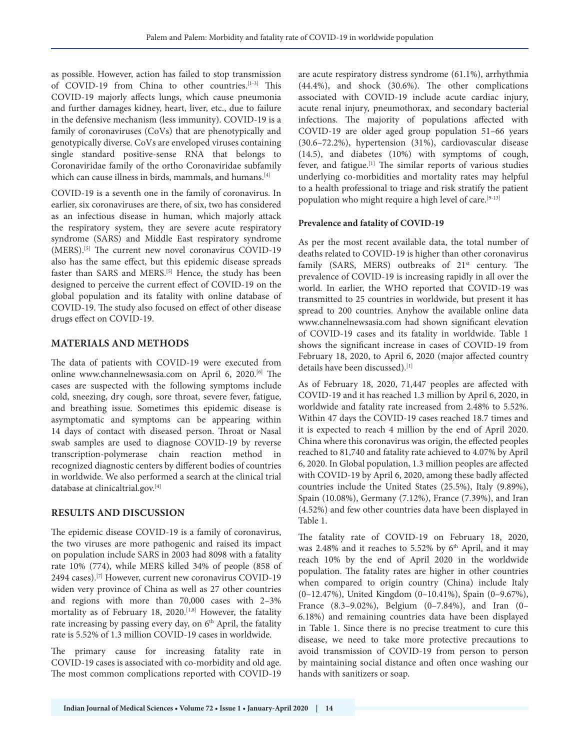as possible. However, action has failed to stop transmission of COVID-19 from China to other countries.<sup>[1-3]</sup> This COVID-19 majorly affects lungs, which cause pneumonia and further damages kidney, heart, liver, etc., due to failure in the defensive mechanism (less immunity). COVID-19 is a family of coronaviruses (CoVs) that are phenotypically and genotypically diverse. CoVs are enveloped viruses containing single standard positive-sense RNA that belongs to Coronaviridae family of the ortho Coronaviridae subfamily which can cause illness in birds, mammals, and humans.<sup>[4]</sup>

COVID-19 is a seventh one in the family of coronavirus. In earlier, six coronaviruses are there, of six, two has considered as an infectious disease in human, which majorly attack the respiratory system, they are severe acute respiratory syndrome (SARS) and Middle East respiratory syndrome (MERS).[5] The current new novel coronavirus COVID-19 also has the same effect, but this epidemic disease spreads faster than SARS and MERS.<sup>[5]</sup> Hence, the study has been designed to perceive the current effect of COVID-19 on the global population and its fatality with online database of COVID-19. The study also focused on effect of other disease drugs effect on COVID-19.

### **MATERIALS AND METHODS**

The data of patients with COVID-19 were executed from online www.channelnewsasia.com on April 6, 2020.<sup>[6]</sup> The cases are suspected with the following symptoms include cold, sneezing, dry cough, sore throat, severe fever, fatigue, and breathing issue. Sometimes this epidemic disease is asymptomatic and symptoms can be appearing within 14 days of contact with diseased person. Throat or Nasal swab samples are used to diagnose COVID-19 by reverse transcription-polymerase chain reaction method in recognized diagnostic centers by different bodies of countries in worldwide. We also performed a search at the clinical trial database at clinicaltrial.gov.[4]

# **RESULTS AND DISCUSSION**

The epidemic disease COVID-19 is a family of coronavirus, the two viruses are more pathogenic and raised its impact on population include SARS in 2003 had 8098 with a fatality rate 10% (774), while MERS killed 34% of people (858 of 2494 cases).[7] However, current new coronavirus COVID-19 widen very province of China as well as 27 other countries and regions with more than 70,000 cases with 2–3% mortality as of February 18, 2020.<sup>[1,8]</sup> However, the fatality rate increasing by passing every day, on 6<sup>th</sup> April, the fatality rate is 5.52% of 1.3 million COVID-19 cases in worldwide.

The primary cause for increasing fatality rate in COVID-19 cases is associated with co-morbidity and old age. The most common complications reported with COVID-19

are acute respiratory distress syndrome (61.1%), arrhythmia (44.4%), and shock (30.6%). The other complications associated with COVID-19 include acute cardiac injury, acute renal injury, pneumothorax, and secondary bacterial infections. The majority of populations affected with COVID-19 are older aged group population 51–66 years (30.6–72.2%), hypertension (31%), cardiovascular disease (14.5), and diabetes (10%) with symptoms of cough, fever, and fatigue.[1] The similar reports of various studies underlying co-morbidities and mortality rates may helpful to a health professional to triage and risk stratify the patient population who might require a high level of care.<sup>[9-13]</sup>

#### **Prevalence and fatality of COVID-19**

As per the most recent available data, the total number of deaths related to COVID-19 is higher than other coronavirus family (SARS, MERS) outbreaks of 21<sup>st</sup> century. The prevalence of COVID-19 is increasing rapidly in all over the world. In earlier, the WHO reported that COVID-19 was transmitted to 25 countries in worldwide, but present it has spread to 200 countries. Anyhow the available online data www.channelnewsasia.com had shown significant elevation of COVID-19 cases and its fatality in worldwide. Table 1 shows the significant increase in cases of COVID-19 from February 18, 2020, to April 6, 2020 (major affected country details have been discussed).[1]

As of February 18, 2020, 71,447 peoples are affected with COVID-19 and it has reached 1.3 million by April 6, 2020, in worldwide and fatality rate increased from 2.48% to 5.52%. Within 47 days the COVID-19 cases reached 18.7 times and it is expected to reach 4 million by the end of April 2020. China where this coronavirus was origin, the effected peoples reached to 81,740 and fatality rate achieved to 4.07% by April 6, 2020. In Global population, 1.3 million peoples are affected with COVID-19 by April 6, 2020, among these badly affected countries include the United States (25.5%), Italy (9.89%), Spain (10.08%), Germany (7.12%), France (7.39%), and Iran (4.52%) and few other countries data have been displayed in Table 1.

The fatality rate of COVID-19 on February 18, 2020, was 2.48% and it reaches to 5.52% by 6<sup>th</sup> April, and it may reach 10% by the end of April 2020 in the worldwide population. The fatality rates are higher in other countries when compared to origin country (China) include Italy (0–12.47%), United Kingdom (0–10.41%), Spain (0–9.67%), France (8.3–9.02%), Belgium (0–7.84%), and Iran (0– 6.18%) and remaining countries data have been displayed in Table 1. Since there is no precise treatment to cure this disease, we need to take more protective precautions to avoid transmission of COVID-19 from person to person by maintaining social distance and often once washing our hands with sanitizers or soap.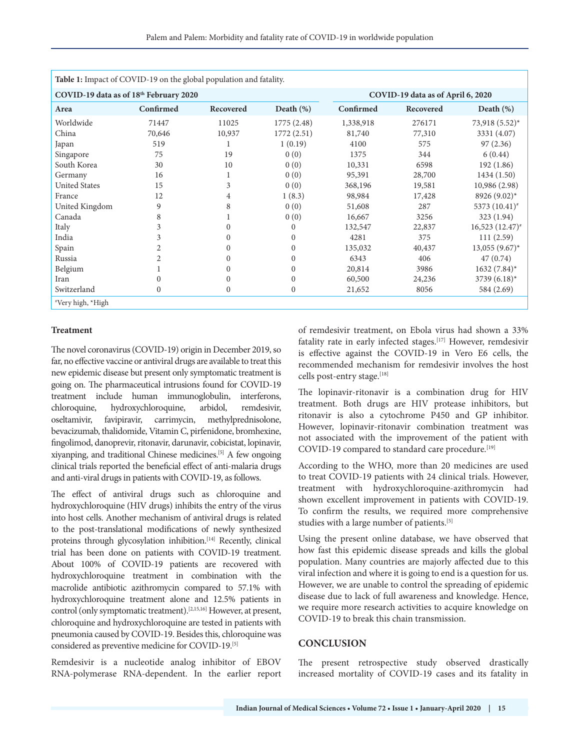| Table 1: Impact of COVID-19 on the global population and fatality. |           |           |              |                                   |           |                              |
|--------------------------------------------------------------------|-----------|-----------|--------------|-----------------------------------|-----------|------------------------------|
| COVID-19 data as of 18th February 2020                             |           |           |              | COVID-19 data as of April 6, 2020 |           |                              |
| Area                                                               | Confirmed | Recovered | Death $(\%)$ | Confirmed                         | Recovered | Death (%)                    |
| Worldwide                                                          | 71447     | 11025     | 1775 (2.48)  | 1,338,918                         | 276171    | 73,918 (5.52)*               |
| China                                                              | 70,646    | 10,937    | 1772 (2.51)  | 81,740                            | 77,310    | 3331 (4.07)                  |
| Japan                                                              | 519       |           | 1(0.19)      | 4100                              | 575       | 97(2.36)                     |
| Singapore                                                          | 75        | 19        | 0(0)         | 1375                              | 344       | 6(0.44)                      |
| South Korea                                                        | 30        | 10        | 0(0)         | 10,331                            | 6598      | 192(1.86)                    |
| Germany                                                            | 16        |           | 0(0)         | 95,391                            | 28,700    | 1434 (1.50)                  |
| <b>United States</b>                                               | 15        | 3         | 0(0)         | 368,196                           | 19,581    | 10,986 (2.98)                |
| France                                                             | 12        | 4         | 1(8.3)       | 98,984                            | 17,428    | 8926 $(9.02)^*$              |
| United Kingdom                                                     | 9         | 8         | 0(0)         | 51,608                            | 287       | 5373 (10.41) <sup>#</sup>    |
| Canada                                                             | 8         |           | 0(0)         | 16,667                            | 3256      | 323 (1.94)                   |
| Italy                                                              | 3         | $\Omega$  | $\Omega$     | 132,547                           | 22,837    | $16,523(12.47)$ <sup>*</sup> |
| India                                                              | 3         | 0         | $\Omega$     | 4281                              | 375       | 111(2.59)                    |
| Spain                                                              | 2         | 0         | $\mathbf{0}$ | 135,032                           | 40,437    | $13,055$ $(9.67)$ *          |
| Russia                                                             | 2         | $\Omega$  | $\Omega$     | 6343                              | 406       | 47(0.74)                     |
| Belgium                                                            |           | 0         | $\Omega$     | 20,814                            | 3986      | $1632 (7.84)^*$              |
| Iran                                                               | $\Omega$  |           | $\Omega$     | 60,500                            | 24,236    | 3739 $(6.18)^*$              |
| Switzerland                                                        | $\Omega$  | $\Omega$  | $\mathbf{0}$ | 21,652                            | 8056      | 584 (2.69)                   |
| *Very high, *High                                                  |           |           |              |                                   |           |                              |

#### **Treatment**

The novel coronavirus (COVID-19) origin in December 2019, so far, no effective vaccine or antiviral drugs are available to treat this new epidemic disease but present only symptomatic treatment is going on. The pharmaceutical intrusions found for COVID-19 treatment include human immunoglobulin, interferons, chloroquine, hydroxychloroquine, arbidol, remdesivir, oseltamivir, favipiravir, carrimycin, methylprednisolone, bevacizumab, thalidomide, Vitamin C, pirfenidone, bromhexine, fingolimod, danoprevir, ritonavir, darunavir, cobicistat, lopinavir, xiyanping, and traditional Chinese medicines.[5] A few ongoing clinical trials reported the beneficial effect of anti-malaria drugs and anti-viral drugs in patients with COVID-19, as follows.

The effect of antiviral drugs such as chloroquine and hydroxychloroquine (HIV drugs) inhibits the entry of the virus into host cells. Another mechanism of antiviral drugs is related to the post-translational modifications of newly synthesized proteins through glycosylation inhibition.<sup>[14]</sup> Recently, clinical trial has been done on patients with COVID-19 treatment. About 100% of COVID-19 patients are recovered with hydroxychloroquine treatment in combination with the macrolide antibiotic azithromycin compared to 57.1% with hydroxychloroquine treatment alone and 12.5% patients in control (only symptomatic treatment).[2,15,16] However, at present, chloroquine and hydroxychloroquine are tested in patients with pneumonia caused by COVID-19. Besides this, chloroquine was considered as preventive medicine for COVID-19.[5]

Remdesivir is a nucleotide analog inhibitor of EBOV RNA-polymerase RNA-dependent. In the earlier report of remdesivir treatment, on Ebola virus had shown a 33% fatality rate in early infected stages.[17] However, remdesivir is effective against the COVID-19 in Vero E6 cells, the recommended mechanism for remdesivir involves the host cells post-entry stage.<sup>[18]</sup>

The lopinavir-ritonavir is a combination drug for HIV treatment. Both drugs are HIV protease inhibitors, but ritonavir is also a cytochrome P450 and GP inhibitor. However, lopinavir-ritonavir combination treatment was not associated with the improvement of the patient with COVID-19 compared to standard care procedure.<sup>[19]</sup>

According to the WHO, more than 20 medicines are used to treat COVID-19 patients with 24 clinical trials. However, treatment with hydroxychloroquine-azithromycin had shown excellent improvement in patients with COVID-19. To confirm the results, we required more comprehensive studies with a large number of patients.[5]

Using the present online database, we have observed that how fast this epidemic disease spreads and kills the global population. Many countries are majorly affected due to this viral infection and where it is going to end is a question for us. However, we are unable to control the spreading of epidemic disease due to lack of full awareness and knowledge. Hence, we require more research activities to acquire knowledge on COVID-19 to break this chain transmission.

# **CONCLUSION**

The present retrospective study observed drastically increased mortality of COVID-19 cases and its fatality in